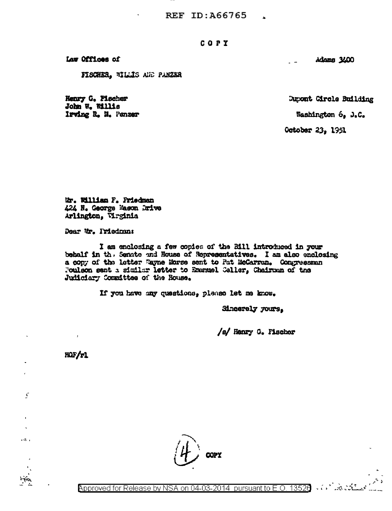REF ID:A66765

### COPY

Law Offices of

FISCHER, WILLIS AND PANZER

Henry G. Piecher John W. Willis Irving R. N. Panzer Adams 3400

Dupont Circle Building

Washington 6, J.C.

October 23, 1951

 $\sim$ 

Mr. William F. Friedman 424 N. George Mason Drive Arlington, Virginia

Dear Mr. Iriedman:

I am enclosing a few copies of the Bill introduced in your behalf in the Senate and House of Representatives. I am also enclosing a copy of the letter Wayne Morse sent to Pat McCarran. Congressman Foulson sent a similar letter to Emanuel Celler, Chairman of the Judiciary Committee of the House.

If you have any questions, please let me know.

Sincerely yours.

/s/ Henry G. Fischer

HOF/r1

 $\mathcal{L}$ 

 $\sim$ 

 $\overline{\phantom{a}}$ 



سَمَّدْتَ شَدَّيْتَ ﴾ • Approved for Release by NSA on 04-03-2014 pursuant to E.O. 13520 ﴾ • ﴿ • ١ - فَرَجْعَ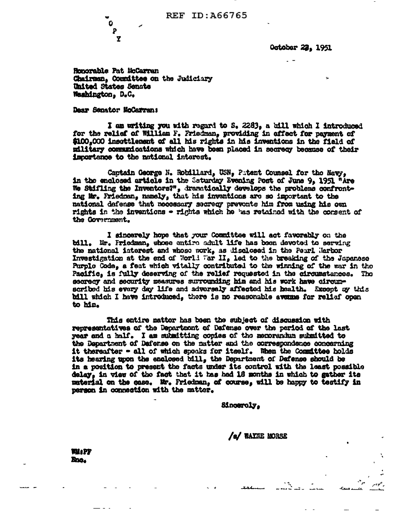REF ID: A66765

October 22, 1951

Honorable Pat McCarran Chairman, Counittee on the Judiciary **United States Senate** Washington, D.C.

Daar Senator NoCarran;

Ů P Y

I am writing you with regard to S. 2283, a bill which I introduced for the reliaf of William F. Priedman, providing in affect for payment of \$100,000 insettlement of all his rights in his inventions in the field of military communications which have been placed in secrecy because of their importance to the national interest.

Captain George N. Robillard, USN, Patent Counsel for the Navy. in the enclosed article in the Saturday Evening Post of June 9, 1951 "Are We Stifling the Inventors?", dramatically develops the problems confronting Mr. Friedman, namely, that his inventions are so important to the national defense that necessary secrecy prevents him from using his own rights in the inventions - rights which he has retained with the consent of the Government.

I sincerely hope that your Committee will act favorably on the bill. Mr. Friedman, whose entire adult life has been devoted to serving the national interest and whose work, as disclosed in the Peurl Marbor Investigation at the end of World War II, led to the breaking of the Japanese Purple Code, a feat which vitally contributed to the winning of the war in the Pacific, is fully deserving of the relief requested in the circumstances. The secrecy and security measures surrounding him and his work have circumscribed his every day life and adversaly affected his health. Except by this bill which I have introduced, there is no reasonable avenue for relisf open to him.

This entire mattor has been the subject of discussion with representatives of the Department of Defense over the period of the last year and a half. I am submitting copies of the menorandum submitted to the Department of Dafense on the matter and the correspondence concerning it thereafter - all of which speaks for itself. When the Committee holds its hearing upon the enclosed bill, the Department of Defense should be in a position to present the facts under its control with the least possible delay. in view of the fact that it has had 18 months in which to gather its material on the case. Mr. Friedman, of course, will be happy to testify in person in connection with the matter.

Sinceroly.

/e/ WAXNE MORSE

Wil: PP mo.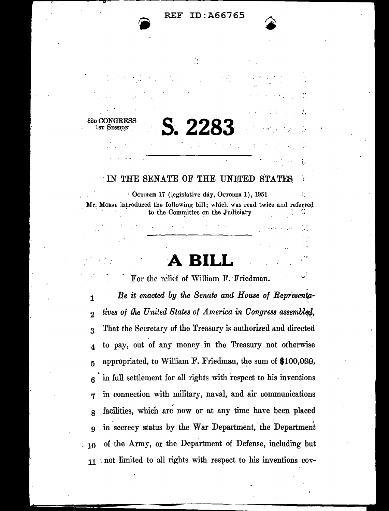#### ID: A66765  $REF$

82p CONG S. 22

 $1N$ THE SENATE OF THE UNITED STATES Y

CCTOBER 17 (legislative day, Остовек 1), 1951  $\hat{C}$ Mr. Morse introduced the following bill; which was read twice and referred to the Committee on the Judiciary ۰.

For the relief of William F. Friedman.

Be it enacted by the Senate and House of Representa- $\mathbf{1}$ tives of the United States of America in Congress assembled.  $\overline{2}$ That the Secretary of the Treasury is authorized and directed 3 to pay, out of any money in the Treasury not otherwise  $\overline{\mathbf{4}}$ appropriated, to William F. Friedman, the sum of \$100,000, 5 in full settlement for all rights with respect to his inventions 6 in connection with military, naval, and air communications 7 facilities, which are now or at any time have been placed 8 in secrecy status by the War Department, the Department 9 of the Army, or the Department of Defense, including but 10 11 not limited to all rights with respect to his inventions cov-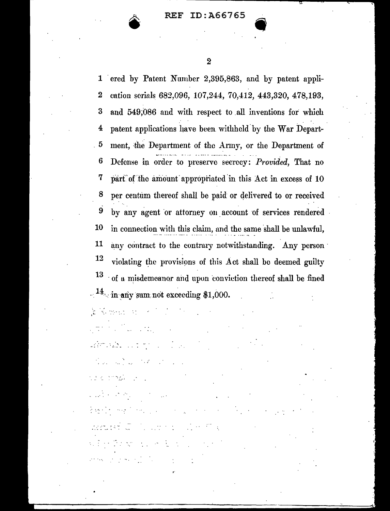

ered by Patent Number 2,395,863, and by patent appli- $\mathbf{1}$ cation serials 682,096, 107,244, 70,412, 443,320, 478,193,  $\boldsymbol{2}$ and 549,086 and with respect to all inventions for which 3 patent applications have been withheld by the War Depart-4 ment, the Department of the Army, or the Department of 5 Defense in order to preserve secrecy: Provided, That no 6 7 part of the amount appropriated in this Act in excess of 10 8 per centum thereof shall be paid or delivered to or received by any agent or attorney on account of services rendered 9 10 in connection with this claim, and the same shall be unlawful, 11 any contract to the contrary notwithstanding. Any person 12 violating the provisions of this Act shall be deemed guilty <sup>13</sup> of a misdemeanor and upon conviction thereof shall be fined  $14$  in any sum not exceeding \$1,000.

医肠动脉 医心脏的 化

WARD CONTROL CONTROL  $\label{eq:2.1} \frac{1}{2}\sum_{i=1}^n\sum_{j=1}^n\frac{1}{2}\sum_{j=1}^n\sum_{j=1}^n\frac{1}{2}\sum_{j=1}^n\sum_{j=1}^n\frac{1}{2}\sum_{j=1}^n\frac{1}{2}\sum_{j=1}^n\frac{1}{2}\sum_{j=1}^n\frac{1}{2}\sum_{j=1}^n\frac{1}{2}\sum_{j=1}^n\frac{1}{2}\sum_{j=1}^n\frac{1}{2}\sum_{j=1}^n\frac{1}{2}\sum_{j=1}^n\frac{1}{2}\sum_{j=1}^n\frac{1$ 

ta a mazin shi  $\label{eq:2} \mathcal{L}_{\text{max}}(\mathcal{L}_{\text{max}},\mathcal{L}_{\text{max}}) = \mathcal{L}_{\text{max}}(\mathcal{L}_{\text{max}})$  $\frac{1}{2} \left( \frac{1}{2} \frac{1}{2} \right)^2 \left( \frac{1}{2} \left( \frac{1}{2} \frac{1}{2} \right)^2 \left( \frac{1}{2} \frac{1}{2} \right)^2 \right) \left( \frac{1}{2} \left( \frac{1}{2} \right)^2 \right) \left( \frac{1}{2} \frac{1}{2} \right)^2 \left( \frac{1}{2} \frac{1}{2} \right)^2$ Report Control Control Control  $\label{eq:1} \mathcal{L}_{\mathcal{A}}\left(\mathcal{I}\right) \rightarrow \mathcal{L}_{\mathcal{A}}\left(\mathcal{I}\right) \rightarrow \mathcal{L}_{\mathcal{A}}\left(\mathcal{I}\right) \rightarrow \mathcal{L}_{\mathcal{A}}\left(\mathcal{I}\right) \rightarrow \mathcal{L}_{\mathcal{A}}\left(\mathcal{I}\right) \rightarrow \mathcal{L}_{\mathcal{A}}\left(\mathcal{I}\right)$  $\label{eq:2.1} \mathcal{L}^{\text{max}}(\mathcal{L}^{\text{max}}_{\text{max}}, \mathcal{L}^{\text{max}}_{\text{max}}, \mathcal{L}^{\text{max}}_{\text{max}})$